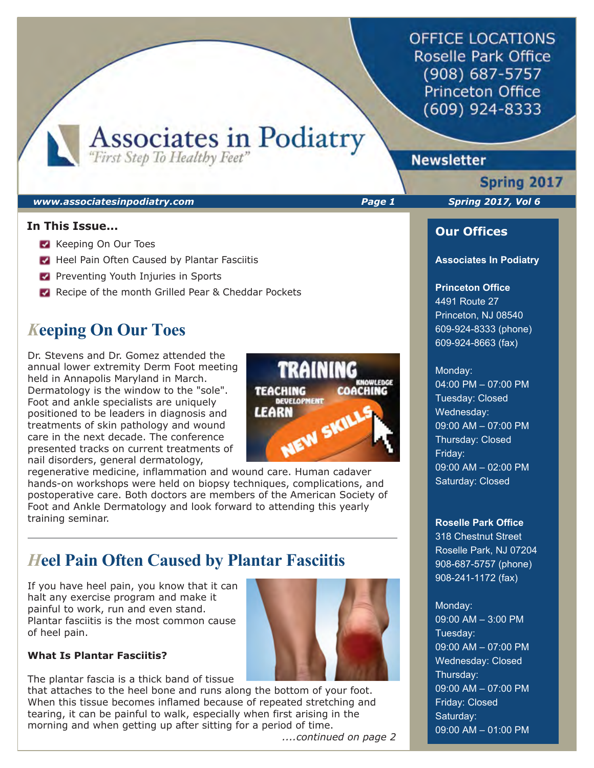**OFFICE LOCATIONS** Roselle Park Office (908) 687-5757 **Princeton Office**  $(609)$  924-8333

Associates in Podiatry

# **Newsletter**

### *www.associatesinpodiatry.com Page 1 Spring 2017, Vol 6*

### **In This Issue...**

- **Keeping On Our Toes**
- Heel Pain Often Caused by Plantar Fasciitis
- **Preventing Youth Injuries in Sports**
- Recipe of the month Grilled Pear & Cheddar Pockets

# *K***eeping On Our Toes**

Dr. Stevens and Dr. Gomez attended the annual lower extremity Derm Foot meeting held in Annapolis Maryland in March. Dermatology is the window to the "sole". Foot and ankle specialists are uniquely positioned to be leaders in diagnosis and treatments of skin pathology and wound care in the next decade. The conference presented tracks on current treatments of nail disorders, general dermatology,



regenerative medicine, inflammation and wound care. Human cadaver hands-on workshops were held on biopsy techniques, complications, and postoperative care. Both doctors are members of the American Society of Foot and Ankle Dermatology and look forward to attending this yearly training seminar.

# *H***eel Pain Often Caused by Plantar Fasciitis**

If you have heel pain, you know that it can halt any exercise program and make it painful to work, run and even stand. Plantar fasciitis is the most common cause of heel pain.



The plantar fascia is a thick band of tissue

that attaches to the heel bone and runs along the bottom of your foot. When this tissue becomes inflamed because of repeated stretching and tearing, it can be painful to walk, especially when first arising in the morning and when getting up after sitting for a period of time.

 *....continued on page 2*

Spring 2017

ı

### **Our Offices**

#### **Associates In Podiatry**

### **Princeton Office**

4491 Route 27 Princeton, NJ 08540 609-924-8333 (phone) 609-924-8663 (fax)

#### Monday:

04:00 PM – 07:00 PM Tuesday: Closed Wednesday: 09:00 AM – 07:00 PM Thursday: Closed Friday: 09:00 AM – 02:00 PM Saturday: Closed

#### **Roselle Park Office**

318 Chestnut Street Roselle Park, NJ 07204 908-687-5757 (phone) 908-241-1172 (fax)

### Monday:

09:00 AM – 3:00 PM Tuesday: 09:00 AM – 07:00 PM Wednesday: Closed Thursday: 09:00 AM – 07:00 PM Friday: Closed Saturday: 09:00 AM – 01:00 PM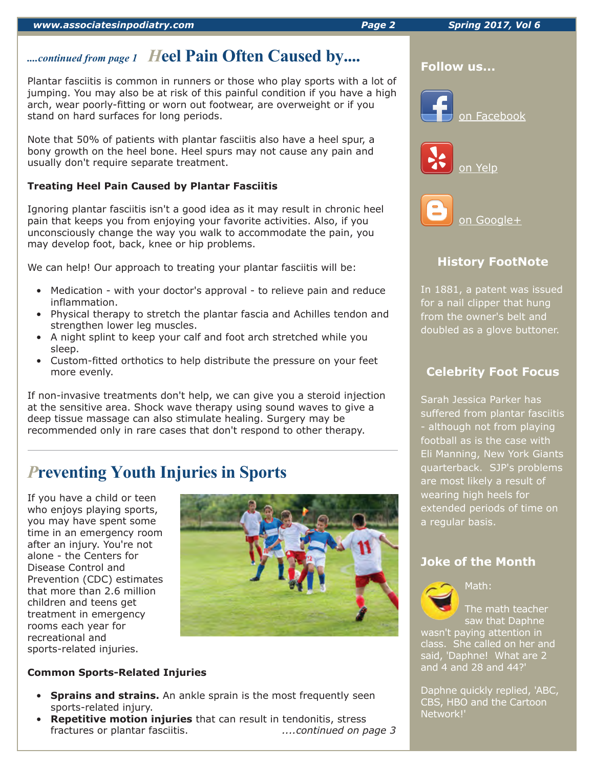#### *www.associatesinpodiatry.com Page 2 Spring 2017, Vol 6*

# *....continued from page 1 H***eel Pain Often Caused by....**

Plantar fasciitis is common in runners or those who play sports with a lot of jumping. You may also be at risk of this painful condition if you have a high arch, wear poorly-fitting or worn out footwear, are overweight or if you stand on hard surfaces for long periods.

Note that 50% of patients with plantar fasciitis also have a heel spur, a bony growth on the heel bone. Heel spurs may not cause any pain and usually don't require separate treatment.

## **Treating Heel Pain Caused by Plantar Fasciitis**

Ignoring plantar fasciitis isn't a good idea as it may result in chronic heel pain that keeps you from enjoying your favorite activities. Also, if you unconsciously change the way you walk to accommodate the pain, you may develop foot, back, knee or hip problems.

We can help! Our approach to treating your plantar fasciitis will be:

- Medication with your doctor's approval to relieve pain and reduce inflammation.
- Physical therapy to stretch the plantar fascia and Achilles tendon and strengthen lower leg muscles.
- A night splint to keep your calf and foot arch stretched while you sleep.
- Custom-fitted orthotics to help distribute the pressure on your feet more evenly.

If non-invasive treatments don't help, we can give you a steroid injection at the sensitive area. Shock wave therapy using sound waves to give a deep tissue massage can also stimulate healing. Surgery may be recommended only in rare cases that don't respond to other therapy.

# *P***reventing Youth Injuries in Sports**

If you have a child or teen who enjoys playing sports, you may have spent some time in an emergency room after an injury. You're not alone - the Centers for Disease Control and Prevention (CDC) estimates that more than 2.6 million children and teens get treatment in emergency rooms each year for recreational and sports-related injuries.



### **Common Sports-Related Injuries**

- **Sprains and strains.** An ankle sprain is the most frequently seen sports-related injury.
- **Repetitive motion injuries** that can result in tendonitis, stress fractures or plantar fasciitis. *....continued on page 3*



### **Follow us...**







# **History FootNote**

In 1881, a patent was issued for a nail clipper that hung from the owner's belt and doubled as a glove buttoner.

# **Celebrity Foot Focus**

Sarah Jessica Parker has suffered from plantar fasciitis - although not from playing football as is the case with Eli Manning, New York Giants quarterback. SJP's problems are most likely a result of wearing high heels for extended periods of time on a regular basis.

## **Joke of the Month**



Math:

The math teacher saw that Daphne wasn't paying attention in class. She called on her and said, 'Daphne! What are 2 and 4 and 28 and 44?'

Daphne quickly replied, 'ABC, CBS, HBO and the Cartoon Network!'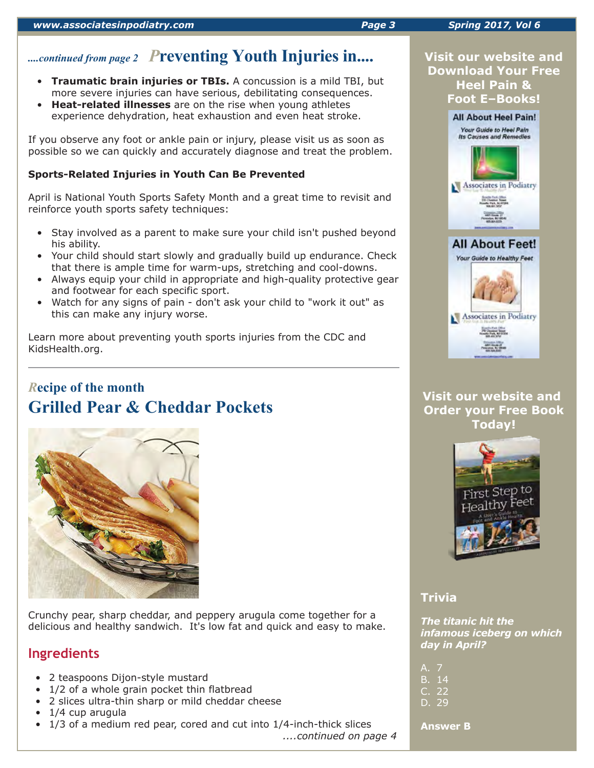# *....continued from page 2 P***reventing Youth Injuries in....**

- **Traumatic brain injuries or TBIs.** A concussion is a mild TBI, but more severe injuries can have serious, debilitating consequences.
- **Heat-related illnesses** are on the rise when young athletes experience dehydration, heat exhaustion and even heat stroke.

If you observe any foot or ankle pain or injury, please visit us as soon as possible so we can quickly and accurately diagnose and treat the problem.

### **Sports-Related Injuries in Youth Can Be Prevented**

April is National Youth Sports Safety Month and a great time to revisit and reinforce youth sports safety techniques:

- Stay involved as a parent to make sure your child isn't pushed beyond his ability.
- Your child should start slowly and gradually build up endurance. Check that there is ample time for warm-ups, stretching and cool-downs.
- Always equip your child in appropriate and high-quality protective gear and footwear for each specific sport.
- Watch for any signs of pain don't ask your child to "work it out" as this can make any injury worse.

Learn more about preventing youth sports injuries from the CDC and KidsHealth.org.

# *R***ecipe of the month Grilled Pear & Cheddar Pockets**



Crunchy pear, sharp cheddar, and peppery arugula come together for a delicious and healthy sandwich. It's low fat and quick and easy to make.

# **Ingredients**

- 2 teaspoons Dijon-style mustard
- 1/2 of a whole grain pocket thin flatbread
- 2 slices ultra-thin sharp or mild cheddar cheese
- 1/4 cup arugula
- 1/3 of a medium red pear, cored and cut into 1/4-inch-thick slices

*....continued on page 4*





## **Visit our website and Order your Free Book Today!**



## **Trivia**

*The titanic hit the infamous iceberg on which day in April?*

| A. 7          |        |
|---------------|--------|
|               | B. 14  |
| $C_{\alpha}$  | 22     |
| <b>Brazil</b> | $\sim$ |

D. 29

**Answer B**